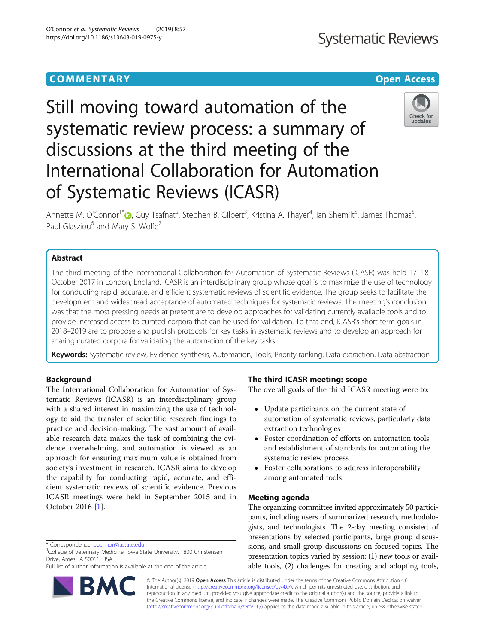# **COMMENTARY COMMENTARY Open Access**

# Still moving toward automation of the systematic review process: a summary of discussions at the third meeting of the International Collaboration for Automation of Systematic Reviews (ICASR)

Annette M. O'Connor<sup>1\*</sup>®[,](http://orcid.org/0000-0003-0604-7822) Guy Tsafnat<sup>2</sup>, Stephen B. Gilbert<sup>3</sup>, Kristina A. Thayer<sup>4</sup>, Ian Shemilt<sup>5</sup>, James Thomas<sup>5</sup> , Paul Glasziou<sup>6</sup> and Mary S. Wolfe<sup>7</sup>

# Abstract

The third meeting of the International Collaboration for Automation of Systematic Reviews (ICASR) was held 17–18 October 2017 in London, England. ICASR is an interdisciplinary group whose goal is to maximize the use of technology for conducting rapid, accurate, and efficient systematic reviews of scientific evidence. The group seeks to facilitate the development and widespread acceptance of automated techniques for systematic reviews. The meeting's conclusion was that the most pressing needs at present are to develop approaches for validating currently available tools and to provide increased access to curated corpora that can be used for validation. To that end, ICASR's short-term goals in 2018–2019 are to propose and publish protocols for key tasks in systematic reviews and to develop an approach for sharing curated corpora for validating the automation of the key tasks.

Keywords: Systematic review, Evidence synthesis, Automation, Tools, Priority ranking, Data extraction, Data abstraction

# Background

The International Collaboration for Automation of Systematic Reviews (ICASR) is an interdisciplinary group with a shared interest in maximizing the use of technology to aid the transfer of scientific research findings to practice and decision-making. The vast amount of available research data makes the task of combining the evidence overwhelming, and automation is viewed as an approach for ensuring maximum value is obtained from society's investment in research. ICASR aims to develop the capability for conducting rapid, accurate, and efficient systematic reviews of scientific evidence. Previous ICASR meetings were held in September 2015 and in October 2016 [[1\]](#page-4-0).

\* Correspondence: [oconnor@iastate.edu](mailto:oconnor@iastate.edu) <sup>1</sup>

<sup>1</sup>College of Veterinary Medicine, Iowa State University, 1800 Christensen Drive, Ames, IA 50011, USA

Full list of author information is available at the end of the article



# The third ICASR meeting: scope

The overall goals of the third ICASR meeting were to:

- Update participants on the current state of automation of systematic reviews, particularly data extraction technologies
- Foster coordination of efforts on automation tools and establishment of standards for automating the systematic review process
- Foster collaborations to address interoperability among automated tools

# Meeting agenda

The organizing committee invited approximately 50 participants, including users of summarized research, methodologists, and technologists. The 2-day meeting consisted of presentations by selected participants, large group discussions, and small group discussions on focused topics. The presentation topics varied by session: (1) new tools or available tools, (2) challenges for creating and adopting tools,

© The Author(s). 2019 Open Access This article is distributed under the terms of the Creative Commons Attribution 4.0 International License [\(http://creativecommons.org/licenses/by/4.0/](http://creativecommons.org/licenses/by/4.0/)), which permits unrestricted use, distribution, and reproduction in any medium, provided you give appropriate credit to the original author(s) and the source, provide a link to the Creative Commons license, and indicate if changes were made. The Creative Commons Public Domain Dedication waiver [\(http://creativecommons.org/publicdomain/zero/1.0/](http://creativecommons.org/publicdomain/zero/1.0/)) applies to the data made available in this article, unless otherwise stated.





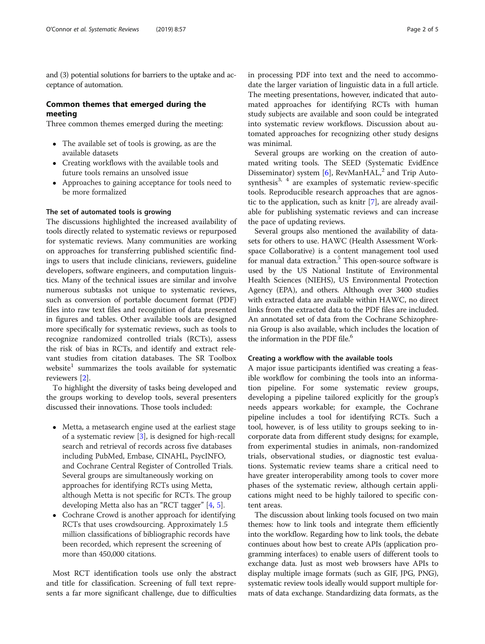and (3) potential solutions for barriers to the uptake and acceptance of automation.

# Common themes that emerged during the meeting

Three common themes emerged during the meeting:

- The available set of tools is growing, as are the available datasets
- Creating workflows with the available tools and future tools remains an unsolved issue
- Approaches to gaining acceptance for tools need to be more formalized

## The set of automated tools is growing

The discussions highlighted the increased availability of tools directly related to systematic reviews or repurposed for systematic reviews. Many communities are working on approaches for transferring published scientific findings to users that include clinicians, reviewers, guideline developers, software engineers, and computation linguistics. Many of the technical issues are similar and involve numerous subtasks not unique to systematic reviews, such as conversion of portable document format (PDF) files into raw text files and recognition of data presented in figures and tables. Other available tools are designed more specifically for systematic reviews, such as tools to recognize randomized controlled trials (RCTs), assess the risk of bias in RCTs, and identify and extract relevant studies from citation databases. The SR Toolbox website $1$  summarizes the tools available for systematic reviewers [\[2](#page-4-0)].

To highlight the diversity of tasks being developed and the groups working to develop tools, several presenters discussed their innovations. Those tools included:

- Metta, a metasearch engine used at the earliest stage of a systematic review [\[3](#page-4-0)], is designed for high-recall search and retrieval of records across five databases including PubMed, Embase, CINAHL, PsycINFO, and Cochrane Central Register of Controlled Trials. Several groups are simultaneously working on approaches for identifying RCTs using Metta, although Metta is not specific for RCTs. The group developing Metta also has an "RCT tagger" [\[4](#page-4-0), [5](#page-4-0)].
- Cochrane Crowd is another approach for identifying RCTs that uses crowdsourcing. Approximately 1.5 million classifications of bibliographic records have been recorded, which represent the screening of more than 450,000 citations.

Most RCT identification tools use only the abstract and title for classification. Screening of full text represents a far more significant challenge, due to difficulties in processing PDF into text and the need to accommodate the larger variation of linguistic data in a full article. The meeting presentations, however, indicated that automated approaches for identifying RCTs with human study subjects are available and soon could be integrated into systematic review workflows. Discussion about automated approaches for recognizing other study designs was minimal.

Several groups are working on the creation of automated writing tools. The SEED (Systematic EvidEnce Disseminator) system  $[6]$  $[6]$ , RevManHAL,<sup>2</sup> and Trip Autosynthesis $3, 4$  are examples of systematic review-specific tools. Reproducible research approaches that are agnostic to the application, such as knitr [\[7](#page-4-0)], are already available for publishing systematic reviews and can increase the pace of updating reviews.

Several groups also mentioned the availability of datasets for others to use. HAWC (Health Assessment Workspace Collaborative) is a content management tool used for manual data extraction.<sup>5</sup> This open-source software is used by the US National Institute of Environmental Health Sciences (NIEHS), US Environmental Protection Agency (EPA), and others. Although over 3400 studies with extracted data are available within HAWC, no direct links from the extracted data to the PDF files are included. An annotated set of data from the Cochrane Schizophrenia Group is also available, which includes the location of the information in the PDF file.<sup>6</sup>

## Creating a workflow with the available tools

A major issue participants identified was creating a feasible workflow for combining the tools into an information pipeline. For some systematic review groups, developing a pipeline tailored explicitly for the group's needs appears workable; for example, the Cochrane pipeline includes a tool for identifying RCTs. Such a tool, however, is of less utility to groups seeking to incorporate data from different study designs; for example, from experimental studies in animals, non-randomized trials, observational studies, or diagnostic test evaluations. Systematic review teams share a critical need to have greater interoperability among tools to cover more phases of the systematic review, although certain applications might need to be highly tailored to specific content areas.

The discussion about linking tools focused on two main themes: how to link tools and integrate them efficiently into the workflow. Regarding how to link tools, the debate continues about how best to create APIs (application programming interfaces) to enable users of different tools to exchange data. Just as most web browsers have APIs to display multiple image formats (such as GIF, JPG, PNG), systematic review tools ideally would support multiple formats of data exchange. Standardizing data formats, as the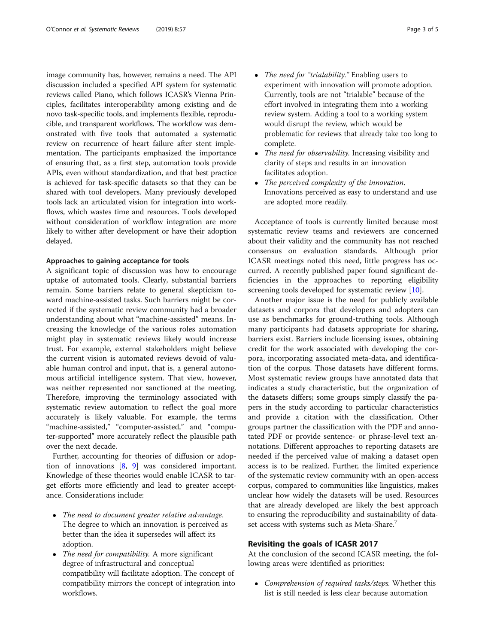image community has, however, remains a need. The API discussion included a specified API system for systematic reviews called Piano, which follows ICASR's Vienna Principles, facilitates interoperability among existing and de novo task-specific tools, and implements flexible, reproducible, and transparent workflows. The workflow was demonstrated with five tools that automated a systematic review on recurrence of heart failure after stent implementation. The participants emphasized the importance of ensuring that, as a first step, automation tools provide APIs, even without standardization, and that best practice is achieved for task-specific datasets so that they can be shared with tool developers. Many previously developed tools lack an articulated vision for integration into workflows, which wastes time and resources. Tools developed without consideration of workflow integration are more likely to wither after development or have their adoption delayed.

## Approaches to gaining acceptance for tools

A significant topic of discussion was how to encourage uptake of automated tools. Clearly, substantial barriers remain. Some barriers relate to general skepticism toward machine-assisted tasks. Such barriers might be corrected if the systematic review community had a broader understanding about what "machine-assisted" means. Increasing the knowledge of the various roles automation might play in systematic reviews likely would increase trust. For example, external stakeholders might believe the current vision is automated reviews devoid of valuable human control and input, that is, a general autonomous artificial intelligence system. That view, however, was neither represented nor sanctioned at the meeting. Therefore, improving the terminology associated with systematic review automation to reflect the goal more accurately is likely valuable. For example, the terms "machine-assisted," "computer-assisted," and "computer-supported" more accurately reflect the plausible path over the next decade.

Further, accounting for theories of diffusion or adoption of innovations [\[8](#page-4-0), [9](#page-4-0)] was considered important. Knowledge of these theories would enable ICASR to target efforts more efficiently and lead to greater acceptance. Considerations include:

- The need to document greater relative advantage. The degree to which an innovation is perceived as better than the idea it supersedes will affect its adoption.
- The need for compatibility. A more significant degree of infrastructural and conceptual compatibility will facilitate adoption. The concept of compatibility mirrors the concept of integration into workflows.
- The need for "trialability." Enabling users to experiment with innovation will promote adoption. Currently, tools are not "trialable" because of the effort involved in integrating them into a working review system. Adding a tool to a working system would disrupt the review, which would be problematic for reviews that already take too long to complete.
- The need for observability. Increasing visibility and clarity of steps and results in an innovation facilitates adoption.
- The perceived complexity of the innovation. Innovations perceived as easy to understand and use are adopted more readily.

Acceptance of tools is currently limited because most systematic review teams and reviewers are concerned about their validity and the community has not reached consensus on evaluation standards. Although prior ICASR meetings noted this need, little progress has occurred. A recently published paper found significant deficiencies in the approaches to reporting eligibility screening tools developed for systematic review [[10](#page-4-0)].

Another major issue is the need for publicly available datasets and corpora that developers and adopters can use as benchmarks for ground-truthing tools. Although many participants had datasets appropriate for sharing, barriers exist. Barriers include licensing issues, obtaining credit for the work associated with developing the corpora, incorporating associated meta-data, and identification of the corpus. Those datasets have different forms. Most systematic review groups have annotated data that indicates a study characteristic, but the organization of the datasets differs; some groups simply classify the papers in the study according to particular characteristics and provide a citation with the classification. Other groups partner the classification with the PDF and annotated PDF or provide sentence- or phrase-level text annotations. Different approaches to reporting datasets are needed if the perceived value of making a dataset open access is to be realized. Further, the limited experience of the systematic review community with an open-access corpus, compared to communities like linguistics, makes unclear how widely the datasets will be used. Resources that are already developed are likely the best approach to ensuring the reproducibility and sustainability of dataset access with systems such as Meta-Share.<sup>7</sup>

## Revisiting the goals of ICASR 2017

At the conclusion of the second ICASR meeting, the following areas were identified as priorities:

• Comprehension of required tasks/steps. Whether this list is still needed is less clear because automation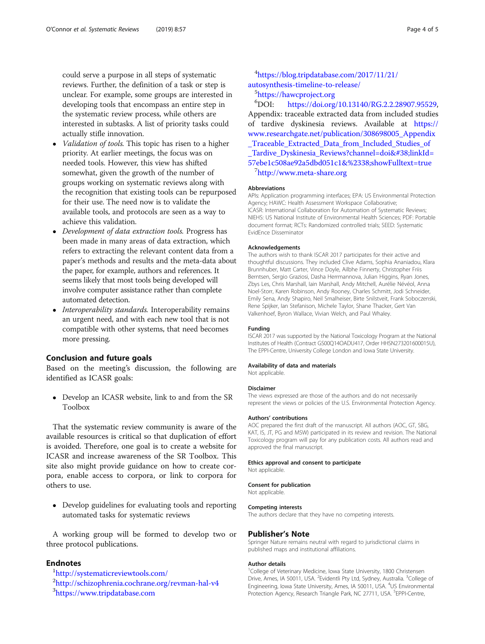could serve a purpose in all steps of systematic reviews. Further, the definition of a task or step is unclear. For example, some groups are interested in developing tools that encompass an entire step in the systematic review process, while others are interested in subtasks. A list of priority tasks could actually stifle innovation.

- Validation of tools. This topic has risen to a higher priority. At earlier meetings, the focus was on needed tools. However, this view has shifted somewhat, given the growth of the number of groups working on systematic reviews along with the recognition that existing tools can be repurposed for their use. The need now is to validate the available tools, and protocols are seen as a way to achieve this validation.
- Development of data extraction tools. Progress has been made in many areas of data extraction, which refers to extracting the relevant content data from a paper's methods and results and the meta-data about the paper, for example, authors and references. It seems likely that most tools being developed will involve computer assistance rather than complete automated detection.
- Interoperability standards. Interoperability remains an urgent need, and with each new tool that is not compatible with other systems, that need becomes more pressing.

## Conclusion and future goals

Based on the meeting's discussion, the following are identified as ICASR goals:

 Develop an ICASR website, link to and from the SR Toolbox

That the systematic review community is aware of the available resources is critical so that duplication of effort is avoided. Therefore, one goal is to create a website for ICASR and increase awareness of the SR Toolbox. This site also might provide guidance on how to create corpora, enable access to corpora, or link to corpora for others to use.

 Develop guidelines for evaluating tools and reporting automated tasks for systematic reviews

A working group will be formed to develop two or three protocol publications.

# **Endnotes**

<http://systematicreviewtools.com/>

<sup>2</sup><http://schizophrenia.cochrane.org/revman-hal-v4> 3 <https://www.tripdatabase.com>

4 [https://blog.tripdatabase.com/2017/11/21/](https://blog.tripdatabase.com/2017/11/21/autosynthesis-timeline-to-release/) [autosynthesis-timeline-to-release/](https://blog.tripdatabase.com/2017/11/21/autosynthesis-timeline-to-release/) <sup>5</sup>

# <https://hawcproject.org>

 $6$ DOI: <https://doi.org/10.13140/RG.2.2.28907.95529>, Appendix: traceable extracted data from included studies of tardive dyskinesia reviews. Available at [https://](https://www.researchgate.net/publication/308698005_Appendix_Traceable_Extracted_Data_from_Included_Studies_of_Tardive_Dyskinesia_Reviews?channel%E2%80%89=%E2%80%89doi&%2338;linkId%E2%80%89=%E2%80%8957ebe1c508ae92a5dbd051c1&%2338;showFulltext%E2%80%89=%E2%80%89true) [www.researchgate.net/publication/308698005\\_Appendix](https://www.researchgate.net/publication/308698005_Appendix_Traceable_Extracted_Data_from_Included_Studies_of_Tardive_Dyskinesia_Reviews?channel%E2%80%89=%E2%80%89doi&%2338;linkId%E2%80%89=%E2%80%8957ebe1c508ae92a5dbd051c1&%2338;showFulltext%E2%80%89=%E2%80%89true) [\\_Traceable\\_Extracted\\_Data\\_from\\_Included\\_Studies\\_of](https://www.researchgate.net/publication/308698005_Appendix_Traceable_Extracted_Data_from_Included_Studies_of_Tardive_Dyskinesia_Reviews?channel%E2%80%89=%E2%80%89doi&%2338;linkId%E2%80%89=%E2%80%8957ebe1c508ae92a5dbd051c1&%2338;showFulltext%E2%80%89=%E2%80%89true) [\\_Tardive\\_Dyskinesia\\_Reviews?channel=doi&linkId=](https://www.researchgate.net/publication/308698005_Appendix_Traceable_Extracted_Data_from_Included_Studies_of_Tardive_Dyskinesia_Reviews?channel%E2%80%89=%E2%80%89doi&%2338;linkId%E2%80%89=%E2%80%8957ebe1c508ae92a5dbd051c1&%2338;showFulltext%E2%80%89=%E2%80%89true) [57ebe1c508ae92a5dbd051c1&%2338;showFulltext=true](https://www.researchgate.net/publication/308698005_Appendix_Traceable_Extracted_Data_from_Included_Studies_of_Tardive_Dyskinesia_Reviews?channel%E2%80%89=%E2%80%89doi&%2338;linkId%E2%80%89=%E2%80%8957ebe1c508ae92a5dbd051c1&%2338;showFulltext%E2%80%89=%E2%80%89true) <sup>7</sup> <sup>7</sup><http://www.meta-share.org>

#### Abbreviations

APIs: Application programming interfaces; EPA: US Environmental Protection Agency; HAWC: Health Assessment Workspace Collaborative; ICASR: International Collaboration for Automation of Systematic Reviews; NIEHS: US National Institute of Environmental Health Sciences; PDF: Portable document format; RCTs: Randomized controlled trials; SEED: Systematic EvidEnce Disseminator

## Acknowledgements

The authors wish to thank ISCAR 2017 participates for their active and thoughtful discussions. They included Clive Adams, Sophia Ananiadou, Klara Brunnhuber, Matt Carter, Vince Doyle, Ailbhe Finnerty, Christopher Friis Berntsen, Sergio Graziosi, Dasha Herrmannova, Julian Higgins, Ryan Jones, Zbys Les, Chris Marshall, Iain Marshall, Andy Mitchell, Aurélie Névéol, Anna Noel-Storr, Karen Robinson, Andy Rooney, Charles Schmitt, Jodi Schneider, Emily Sena, Andy Shapiro, Neil Smalheiser, Birte Snilstveit, Frank Soboczenski, Rene Spijker, Ian Stefanison, Michele Taylor, Shane Thacker, Gert Van Valkenhoef, Byron Wallace, Vivian Welch, and Paul Whaley.

#### Funding

ISCAR 2017 was supported by the National Toxicology Program at the National Institutes of Health (Contract GS00Q14OADU417, Order HHSN273201600015U), The EPPI-Centre, University College London and Iowa State University.

#### Availability of data and materials

Not applicable.

## Disclaimer

The views expressed are those of the authors and do not necessarily represent the views or policies of the U.S. Environmental Protection Agency.

#### Authors' contributions

AOC prepared the first draft of the manuscript. All authors (AOC, GT, SBG, KAT, IS, JT, PG and MSW) participated in its review and revision. The National Toxicology program will pay for any publication costs. All authors read and approved the final manuscript.

#### Ethics approval and consent to participate

Not applicable.

Consent for publication

# Not applicable.

#### Competing interests

The authors declare that they have no competing interests.

## Publisher's Note

Springer Nature remains neutral with regard to jurisdictional claims in published maps and institutional affiliations.

#### Author details

<sup>1</sup>College of Veterinary Medicine, Iowa State University, 1800 Christensen Drive, Ames, IA 50011, USA. <sup>2</sup>Evidentli Pty Ltd, Sydney, Australia. <sup>3</sup>College of Engineering, Iowa State University, Ames, IA 50011, USA. <sup>4</sup>US Environmental Protection Agency, Research Triangle Park, NC 27711, USA. <sup>5</sup>EPPI-Centre,